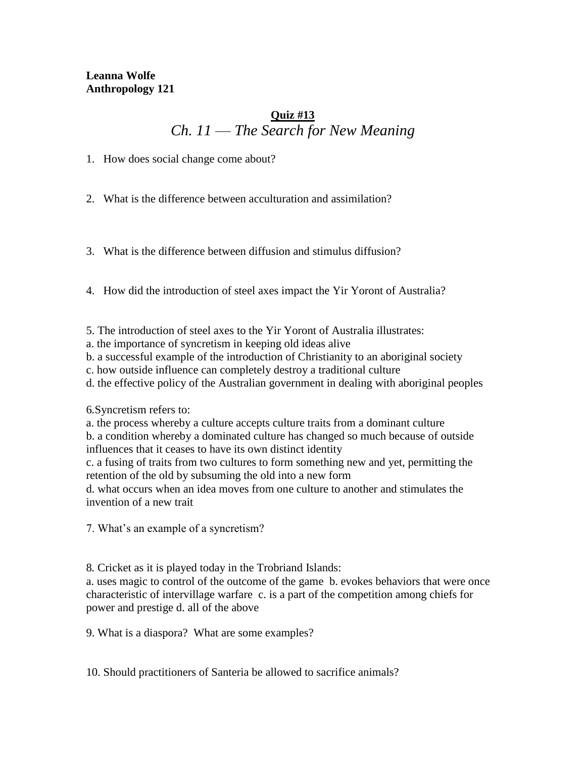#### **Leanna Wolfe Anthropology 121**

## **Quiz #13** *Ch. 11 –– The Search for New Meaning*

1. How does social change come about?

2. What is the difference between acculturation and assimilation?

3. What is the difference between diffusion and stimulus diffusion?

4. How did the introduction of steel axes impact the Yir Yoront of Australia?

5. The introduction of steel axes to the Yir Yoront of Australia illustrates:

a. the importance of syncretism in keeping old ideas alive

b. a successful example of the introduction of Christianity to an aboriginal society

c. how outside influence can completely destroy a traditional culture

d. the effective policy of the Australian government in dealing with aboriginal peoples

6*.*Syncretism refers to:

a. the process whereby a culture accepts culture traits from a dominant culture b. a condition whereby a dominated culture has changed so much because of outside influences that it ceases to have its own distinct identity

c. a fusing of traits from two cultures to form something new and yet, permitting the retention of the old by subsuming the old into a new form

d. what occurs when an idea moves from one culture to another and stimulates the invention of a new trait

7. What's an example of a syncretism?

8*.* Cricket as it is played today in the Trobriand Islands:

a. uses magic to control of the outcome of the game b. evokes behaviors that were once characteristic of intervillage warfare c. is a part of the competition among chiefs for power and prestige d. all of the above

9. What is a diaspora? What are some examples?

10. Should practitioners of Santeria be allowed to sacrifice animals?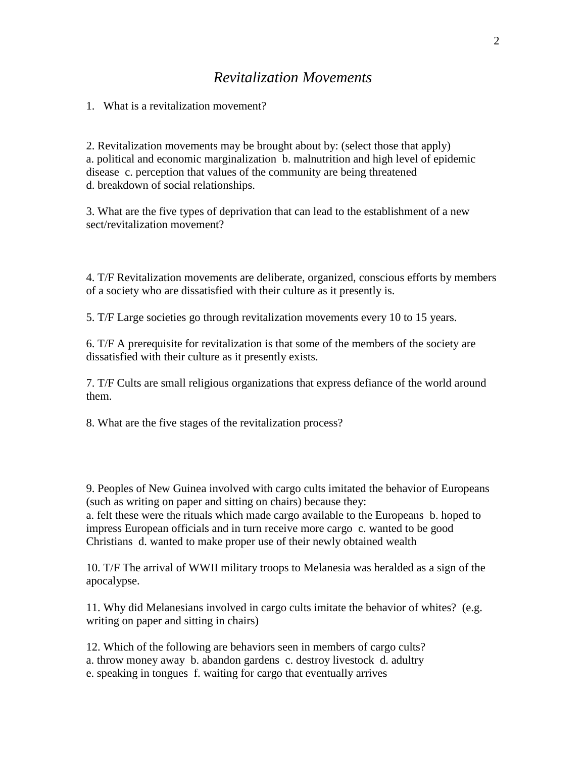## *Revitalization Movements*

1. What is a revitalization movement?

2. Revitalization movements may be brought about by: (select those that apply) a. political and economic marginalization b. malnutrition and high level of epidemic disease c. perception that values of the community are being threatened d. breakdown of social relationships.

3. What are the five types of deprivation that can lead to the establishment of a new sect/revitalization movement?

4. T/F Revitalization movements are deliberate, organized, conscious efforts by members of a society who are dissatisfied with their culture as it presently is.

5. T/F Large societies go through revitalization movements every 10 to 15 years.

6. T/F A prerequisite for revitalization is that some of the members of the society are dissatisfied with their culture as it presently exists.

7. T/F Cults are small religious organizations that express defiance of the world around them.

8. What are the five stages of the revitalization process?

9. Peoples of New Guinea involved with cargo cults imitated the behavior of Europeans (such as writing on paper and sitting on chairs) because they: a. felt these were the rituals which made cargo available to the Europeans b. hoped to impress European officials and in turn receive more cargo c. wanted to be good Christians d. wanted to make proper use of their newly obtained wealth

10. T/F The arrival of WWII military troops to Melanesia was heralded as a sign of the apocalypse.

11. Why did Melanesians involved in cargo cults imitate the behavior of whites? (e.g. writing on paper and sitting in chairs)

12. Which of the following are behaviors seen in members of cargo cults? a. throw money away b. abandon gardens c. destroy livestock d. adultry e. speaking in tongues f. waiting for cargo that eventually arrives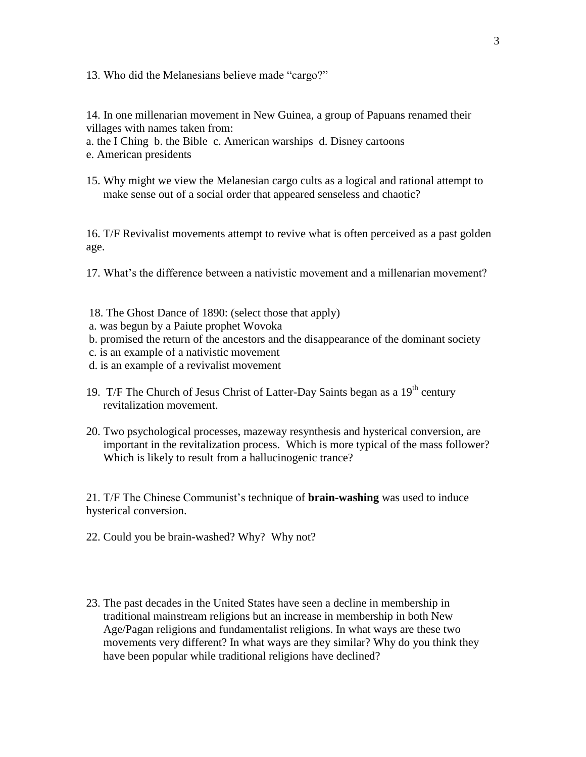13. Who did the Melanesians believe made "cargo?"

14. In one millenarian movement in New Guinea, a group of Papuans renamed their villages with names taken from:

a. the I Ching b. the Bible c. American warships d. Disney cartoons

e. American presidents

15. Why might we view the Melanesian cargo cults as a logical and rational attempt to make sense out of a social order that appeared senseless and chaotic?

16. T/F Revivalist movements attempt to revive what is often perceived as a past golden age.

17. What's the difference between a nativistic movement and a millenarian movement?

- 18. The Ghost Dance of 1890: (select those that apply)
- a. was begun by a Paiute prophet Wovoka
- b. promised the return of the ancestors and the disappearance of the dominant society
- c. is an example of a nativistic movement
- d. is an example of a revivalist movement
- 19. T/F The Church of Jesus Christ of Latter-Day Saints began as a  $19<sup>th</sup>$  century revitalization movement.
- 20. Two psychological processes, mazeway resynthesis and hysterical conversion, are important in the revitalization process. Which is more typical of the mass follower? Which is likely to result from a hallucinogenic trance?

21. T/F The Chinese Communist's technique of **brain-washing** was used to induce hysterical conversion.

- 22. Could you be brain-washed? Why? Why not?
- 23. The past decades in the United States have seen a decline in membership in traditional mainstream religions but an increase in membership in both New Age/Pagan religions and fundamentalist religions. In what ways are these two movements very different? In what ways are they similar? Why do you think they have been popular while traditional religions have declined?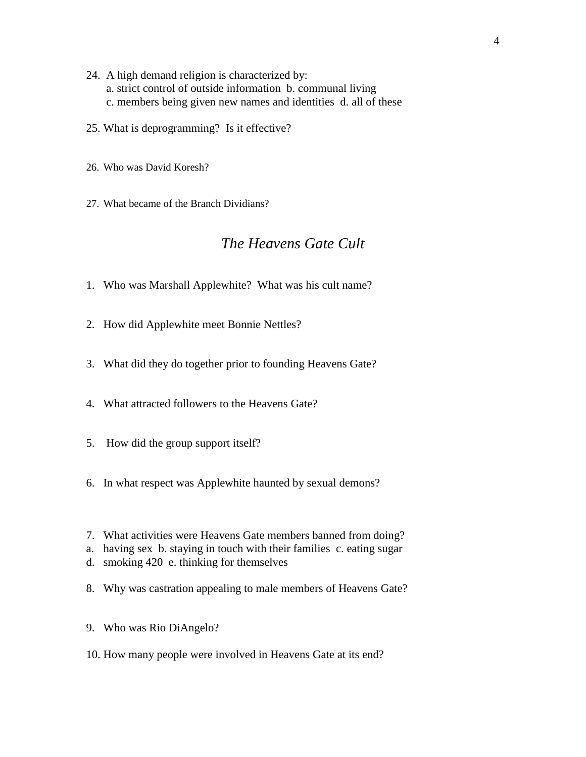- 24. A high demand religion is characterized by: a. strict control of outside information b. communal living c. members being given new names and identities d. all of these
- 25. What is deprogramming? Is it effective?
- 26. Who was David Koresh?
- 27. What became of the Branch Dividians?

### *The Heavens Gate Cult*

- 1. Who was Marshall Applewhite? What was his cult name?
- 2. How did Applewhite meet Bonnie Nettles?
- 3. What did they do together prior to founding Heavens Gate?
- 4. What attracted followers to the Heavens Gate?
- 5. How did the group support itself?
- 6. In what respect was Applewhite haunted by sexual demons?
- 7. What activities were Heavens Gate members banned from doing?
- a. having sex b. staying in touch with their families c. eating sugar
- d. smoking 420 e. thinking for themselves
- 8. Why was castration appealing to male members of Heavens Gate?
- 9. Who was Rio DiAngelo?
- 10. How many people were involved in Heavens Gate at its end?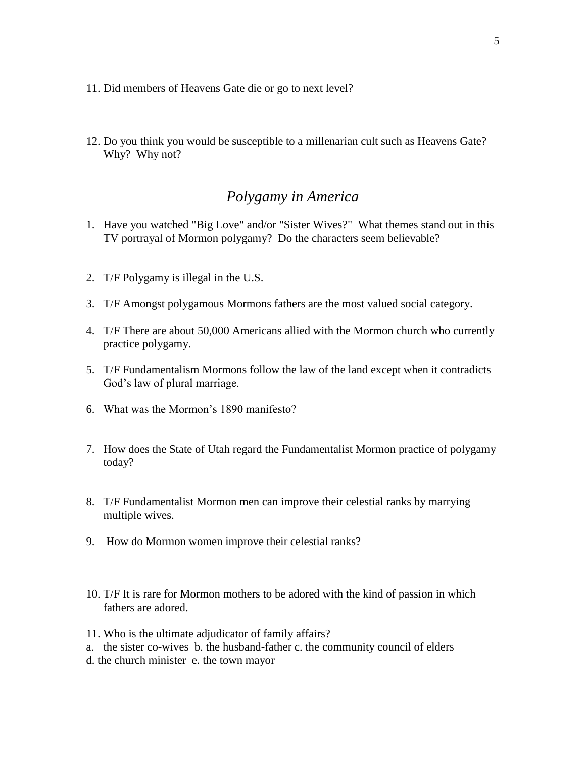- 11. Did members of Heavens Gate die or go to next level?
- 12. Do you think you would be susceptible to a millenarian cult such as Heavens Gate? Why? Why not?

### *Polygamy in America*

- 1. Have you watched "Big Love" and/or "Sister Wives?" What themes stand out in this TV portrayal of Mormon polygamy? Do the characters seem believable?
- 2. T/F Polygamy is illegal in the U.S.
- 3. T/F Amongst polygamous Mormons fathers are the most valued social category.
- 4. T/F There are about 50,000 Americans allied with the Mormon church who currently practice polygamy.
- 5. T/F Fundamentalism Mormons follow the law of the land except when it contradicts God's law of plural marriage.
- 6. What was the Mormon's 1890 manifesto?
- 7. How does the State of Utah regard the Fundamentalist Mormon practice of polygamy today?
- 8. T/F Fundamentalist Mormon men can improve their celestial ranks by marrying multiple wives.
- 9. How do Mormon women improve their celestial ranks?
- 10. T/F It is rare for Mormon mothers to be adored with the kind of passion in which fathers are adored.
- 11. Who is the ultimate adjudicator of family affairs? a. the sister co-wives b. the husband-father c. the community council of elders d. the church minister e. the town mayor